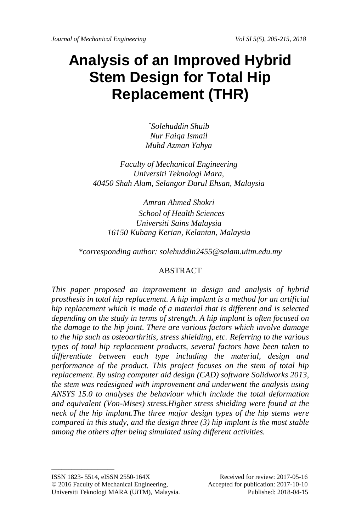# **Analysis of an Improved Hybrid Stem Design for Total Hip Replacement (THR)**

*\*Solehuddin Shuib Nur Faiqa Ismail Muhd Azman Yahya*

*Faculty of Mechanical Engineering Universiti Teknologi Mara, 40450 Shah Alam, Selangor Darul Ehsan, Malaysia*

*Amran Ahmed Shokri School of Health Sciences Universiti Sains Malaysia 16150 Kubang Kerian, Kelantan, Malaysia*

*\*corresponding author: solehuddin2455@salam.uitm.edu.my*

#### ABSTRACT

*This paper proposed an improvement in design and analysis of hybrid prosthesis in total hip replacement. A hip implant is a method for an artificial hip replacement which is made of a material that is different and is selected depending on the study in terms of strength. A hip implant is often focused on the damage to the hip joint. There are various factors which involve damage to the hip such as osteoarthritis, stress shielding, etc. Referring to the various types of total hip replacement products, several factors have been taken to differentiate between each type including the material, design and performance of the product. This project focuses on the stem of total hip replacement. By using computer aid design (CAD) software Solidworks 2013, the stem was redesigned with improvement and underwent the analysis using ANSYS 15.0 to analyses the behaviour which include the total deformation and equivalent (Von-Mises) stress.Higher stress shielding were found at the neck of the hip implant.The three major design types of the hip stems were compared in this study, and the design three (3) hip implant is the most stable among the others after being simulated using different activities.* 

 $\_$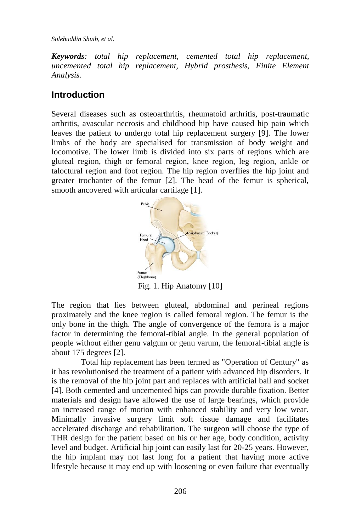*Solehuddin Shuib, et al.*

*Keywords: total hip replacement, cemented total hip replacement, uncemented total hip replacement, Hybrid prosthesis, Finite Element Analysis.*

### **Introduction**

Several diseases such as osteoarthritis, rheumatoid arthritis, post-traumatic arthritis, avascular necrosis and childhood hip have caused hip pain which leaves the patient to undergo total hip replacement surgery [9]. The lower limbs of the body are specialised for transmission of body weight and locomotive. The lower limb is divided into six parts of regions which are gluteal region, thigh or femoral region, knee region, leg region, ankle or taloctural region and foot region. The hip region overflies the hip joint and greater trochanter of the femur [2]. The head of the femur is spherical, smooth ancovered with articular cartilage [1].



The region that lies between gluteal, abdominal and perineal regions proximately and the knee region is called femoral region. The femur is the only bone in the thigh. The angle of convergence of the femora is a major factor in determining the femoral-tibial angle. In the general population of people without either genu valgum or genu varum, the femoral-tibial angle is about 175 degrees [2].

Total hip replacement has been termed as "Operation of Century" as it has revolutionised the treatment of a patient with advanced hip disorders. It is the removal of the hip joint part and replaces with artificial ball and socket [4]. Both cemented and uncemented hips can provide durable fixation. Better materials and design have allowed the use of large bearings, which provide an increased range of motion with enhanced stability and very low wear. Minimally invasive surgery limit soft tissue damage and facilitates accelerated discharge and rehabilitation. The surgeon will choose the type of THR design for the patient based on his or her age, body condition, activity level and budget. Artificial hip joint can easily last for 20-25 years. However, the hip implant may not last long for a patient that having more active lifestyle because it may end up with loosening or even failure that eventually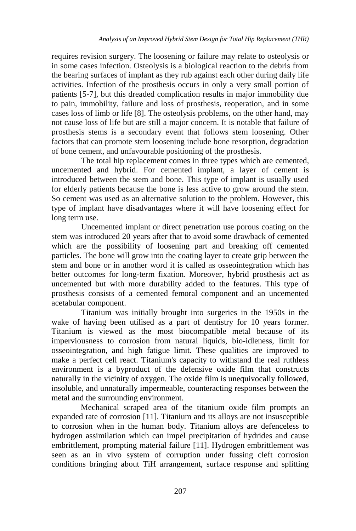requires revision surgery. The loosening or failure may relate to osteolysis or in some cases infection. Osteolysis is a biological reaction to the debris from the bearing surfaces of implant as they rub against each other during daily life activities. Infection of the prosthesis occurs in only a very small portion of patients [5-7], but this dreaded complication results in major immobility due to pain, immobility, failure and loss of prosthesis, reoperation, and in some cases loss of limb or life [8]. The osteolysis problems, on the other hand, may not cause loss of life but are still a major concern. It is notable that failure of prosthesis stems is a secondary event that follows stem loosening. Other factors that can promote stem loosening include bone resorption, degradation of bone cement, and unfavourable positioning of the prosthesis.

The total hip replacement comes in three types which are cemented, uncemented and hybrid. For cemented implant, a layer of cement is introduced between the stem and bone. This type of implant is usually used for elderly patients because the bone is less active to grow around the stem. So cement was used as an alternative solution to the problem. However, this type of implant have disadvantages where it will have loosening effect for long term use.

Uncemented implant or direct penetration use porous coating on the stem was introduced 20 years after that to avoid some drawback of cemented which are the possibility of loosening part and breaking off cemented particles. The bone will grow into the coating layer to create grip between the stem and bone or in another word it is called as osseointegration which has better outcomes for long-term fixation. Moreover, hybrid prosthesis act as uncemented but with more durability added to the features. This type of prosthesis consists of a cemented femoral component and an uncemented acetabular component.

Titanium was initially brought into surgeries in the 1950s in the wake of having been utilised as a part of dentistry for 10 years former. Titanium is viewed as the most biocompatible metal because of its imperviousness to corrosion from natural liquids, bio-idleness, limit for osseointegration, and high fatigue limit. These qualities are improved to make a perfect cell react. Titanium's capacity to withstand the real ruthless environment is a byproduct of the defensive oxide film that constructs naturally in the vicinity of oxygen. The oxide film is unequivocally followed, insoluble, and unnaturally impermeable, counteracting responses between the metal and the surrounding environment.

Mechanical scraped area of the titanium oxide film prompts an expanded rate of corrosion [11]. Titanium and its alloys are not insusceptible to corrosion when in the human body. Titanium alloys are defenceless to hydrogen assimilation which can impel precipitation of hydrides and cause embrittlement, prompting material failure [11]. Hydrogen embrittlement was seen as an in vivo system of corruption under fussing cleft corrosion conditions bringing about TiH arrangement, surface response and splitting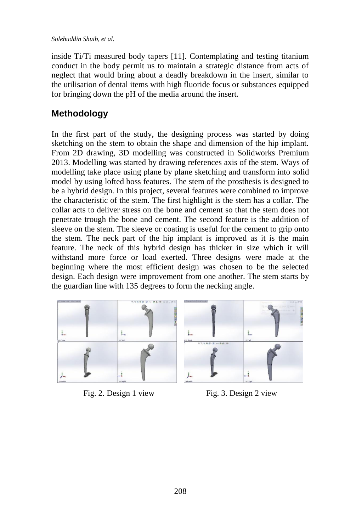*Solehuddin Shuib, et al.*

inside Ti/Ti measured body tapers [11]. Contemplating and testing titanium conduct in the body permit us to maintain a strategic distance from acts of neglect that would bring about a deadly breakdown in the insert, similar to the utilisation of dental items with high fluoride focus or substances equipped for bringing down the pH of the media around the insert.

# **Methodology**

In the first part of the study, the designing process was started by doing sketching on the stem to obtain the shape and dimension of the hip implant. From 2D drawing, 3D modelling was constructed in Solidworks Premium 2013. Modelling was started by drawing references axis of the stem. Ways of modelling take place using plane by plane sketching and transform into solid model by using lofted boss features. The stem of the prosthesis is designed to be a hybrid design. In this project, several features were combined to improve the characteristic of the stem. The first highlight is the stem has a collar. The collar acts to deliver stress on the bone and cement so that the stem does not penetrate trough the bone and cement. The second feature is the addition of sleeve on the stem. The sleeve or coating is useful for the cement to grip onto the stem. The neck part of the hip implant is improved as it is the main feature. The neck of this hybrid design has thicker in size which it will withstand more force or load exerted. Three designs were made at the beginning where the most efficient design was chosen to be the selected design. Each design were improvement from one another. The stem starts by the guardian line with 135 degrees to form the necking angle.





Fig. 2. Design 1 view Fig. 3. Design 2 view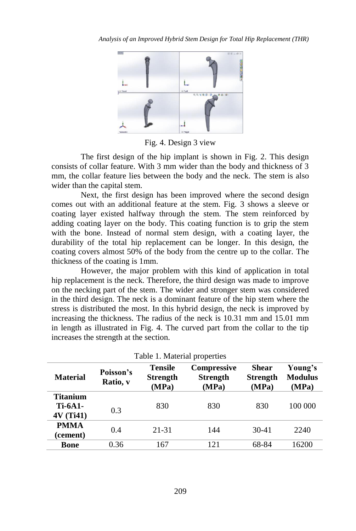

Fig. 4. Design 3 view

The first design of the hip implant is shown in Fig. 2. This design consists of collar feature. With 3 mm wider than the body and thickness of 3 mm, the collar feature lies between the body and the neck. The stem is also wider than the capital stem.

Next, the first design has been improved where the second design comes out with an additional feature at the stem. Fig. 3 shows a sleeve or coating layer existed halfway through the stem. The stem reinforced by adding coating layer on the body. This coating function is to grip the stem with the bone. Instead of normal stem design, with a coating layer, the durability of the total hip replacement can be longer. In this design, the coating covers almost 50% of the body from the centre up to the collar. The thickness of the coating is 1mm.

However, the major problem with this kind of application in total hip replacement is the neck. Therefore, the third design was made to improve on the necking part of the stem. The wider and stronger stem was considered in the third design. The neck is a dominant feature of the hip stem where the stress is distributed the most. In this hybrid design, the neck is improved by increasing the thickness. The radius of the neck is 10.31 mm and 15.01 mm in length as illustrated in Fig. 4. The curved part from the collar to the tip increases the strength at the section.

| Table 1. Material properties            |                       |                                            |                                                |                                          |                                    |  |
|-----------------------------------------|-----------------------|--------------------------------------------|------------------------------------------------|------------------------------------------|------------------------------------|--|
| <b>Material</b>                         | Poisson's<br>Ratio, v | <b>Tensile</b><br><b>Strength</b><br>(MPa) | <b>Compressive</b><br><b>Strength</b><br>(MPa) | <b>Shear</b><br><b>Strength</b><br>(MPa) | Young's<br><b>Modulus</b><br>(MPa) |  |
| Titanium<br><b>Ti-6A1-</b><br>4V (Ti41) | 0.3                   | 830                                        | 830                                            | 830                                      | 100 000                            |  |
| <b>PMMA</b><br>(cement)                 | 0.4                   | 21-31                                      | 144                                            | 30-41                                    | 2240                               |  |
| Bone                                    | 0.36                  | 167                                        | 121                                            | 68-84                                    | 16200                              |  |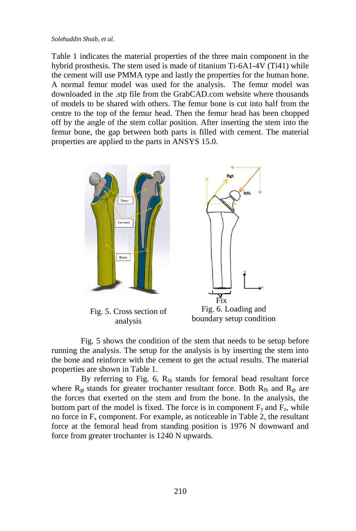Table 1 indicates the material properties of the three main component in the hybrid prosthesis. The stem used is made of titanium Ti-6A1-4V (Ti41) while the cement will use PMMA type and lastly the properties for the human bone. A normal femur model was used for the analysis. The femur model was downloaded in the .stp file from the GrabCAD.com website where thousands of models to be shared with others. The femur bone is cut into half from the centre to the top of the femur head. Then the femur head has been chopped off by the angle of the stem collar position. After inserting the stem into the femur bone, the gap between both parts is filled with cement. The material properties are applied to the parts in ANSYS 15.0.



Fig. 5. Cross section of analysis



Fig. 6. Loading and boundary setup condition

Fig. 5 shows the condition of the stem that needs to be setup before running the analysis. The setup for the analysis is by inserting the stem into the bone and reinforce with the cement to get the actual results. The material properties are shown in Table 1.

By referring to Fig. 6, R<sub>fh</sub> stands for femoral head resultant force where  $R_{gt}$  stands for greater trochanter resultant force. Both  $R_{fh}$  and  $R_{gt}$  are the forces that exerted on the stem and from the bone. In the analysis, the bottom part of the model is fixed. The force is in component  $F_y$  and  $F_z$ , while no force in  $F_x$  component. For example, as noticeable in Table 2, the resultant force at the femoral head from standing position is 1976 N downward and force from greater trochanter is 1240 N upwards.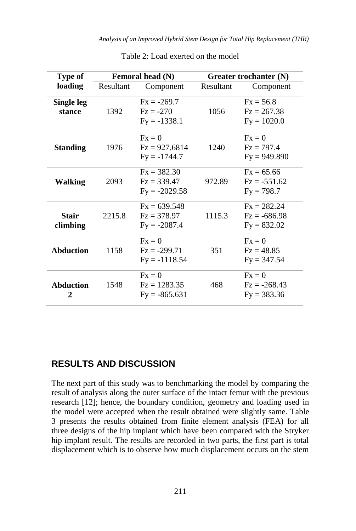| Type of          | Femoral head (N) |                 | Greater trochanter (N) |                |  |
|------------------|------------------|-----------------|------------------------|----------------|--|
| loading          | Resultant        | Component       | Resultant              | Component      |  |
| Single leg       |                  | $Fx = -269.7$   |                        | $Fx = 56.8$    |  |
| stance           | 1392             | $Fz = -270$     | 1056                   | $Fz = 267.38$  |  |
|                  |                  | $Fy = -1338.1$  |                        | $Fy = 1020.0$  |  |
|                  |                  | $Fx = 0$        |                        | $Fx = 0$       |  |
| <b>Standing</b>  | 1976             | $Fz = 927.6814$ | 1240                   | $Fz = 797.4$   |  |
|                  |                  | $Fy = -1744.7$  |                        | $Fy = 949.890$ |  |
|                  |                  | $Fx = 382.30$   |                        | $Fx = 65.66$   |  |
| Walking          | 2093             | $Fz = 339.47$   | 972.89                 | $Fz = -551.62$ |  |
|                  |                  | $Fy = -2029.58$ |                        | $Fy = 798.7$   |  |
|                  |                  | $Fx = 639.548$  |                        | $Fx = 282.24$  |  |
| <b>Stair</b>     | 2215.8           | $Fz = 378.97$   | 1115.3                 | $Fz = -686.98$ |  |
| climbing         |                  | $Fy = -2087.4$  |                        | $Fy = 832.02$  |  |
|                  |                  | $Fx = 0$        |                        | $Fx = 0$       |  |
| <b>Abduction</b> | 1158             | $Fz = -299.71$  | 351                    | $Fz = 48.85$   |  |
|                  |                  | $Fy = -1118.54$ |                        | $Fy = 347.54$  |  |
|                  |                  | $Fx = 0$        |                        | $Fx = 0$       |  |
| <b>Abduction</b> | 1548             | $Fz = 1283.35$  | 468                    | $Fz = -268.43$ |  |
| $\mathbf{2}$     |                  | $Fy = -865.631$ |                        | $Fy = 383.36$  |  |

Table 2: Load exerted on the model

## **RESULTS AND DISCUSSION**

The next part of this study was to benchmarking the model by comparing the result of analysis along the outer surface of the intact femur with the previous research [12]; hence, the boundary condition, geometry and loading used in the model were accepted when the result obtained were slightly same. Table 3 presents the results obtained from finite element analysis (FEA) for all three designs of the hip implant which have been compared with the Stryker hip implant result. The results are recorded in two parts, the first part is total displacement which is to observe how much displacement occurs on the stem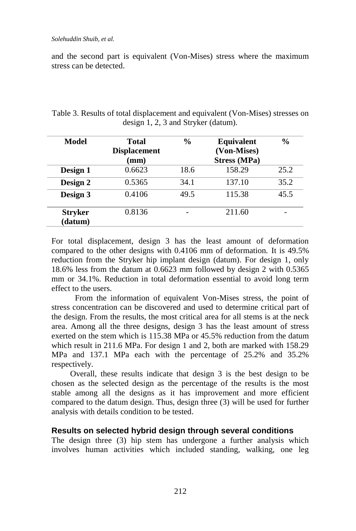and the second part is equivalent (Von-Mises) stress where the maximum stress can be detected.

| Model                     | Total<br><b>Displacement</b><br>(mm) | $\frac{6}{9}$ | <b>Equivalent</b><br>(Von-Mises)<br><b>Stress (MPa)</b> | $\frac{6}{9}$ |
|---------------------------|--------------------------------------|---------------|---------------------------------------------------------|---------------|
| Design 1                  | 0.6623                               | 18.6          | 158.29                                                  | 25.2          |
| Design 2                  | 0.5365                               | 34.1          | 137.10                                                  | 35.2          |
| Design 3                  | 0.4106                               | 49.5          | 115.38                                                  | 45.5          |
| <b>Stryker</b><br>(datum) | 0.8136                               |               | 211.60                                                  |               |

Table 3. Results of total displacement and equivalent (Von-Mises) stresses on design 1, 2, 3 and Stryker (datum).

For total displacement, design 3 has the least amount of deformation compared to the other designs with 0.4106 mm of deformation. It is 49.5% reduction from the Stryker hip implant design (datum). For design 1, only 18.6% less from the datum at 0.6623 mm followed by design 2 with 0.5365 mm or 34.1%. Reduction in total deformation essential to avoid long term effect to the users.

From the information of equivalent Von-Mises stress, the point of stress concentration can be discovered and used to determine critical part of the design. From the results, the most critical area for all stems is at the neck area. Among all the three designs, design 3 has the least amount of stress exerted on the stem which is 115.38 MPa or 45.5% reduction from the datum which result in 211.6 MPa. For design 1 and 2, both are marked with 158.29 MPa and 137.1 MPa each with the percentage of 25.2% and 35.2% respectively.

Overall, these results indicate that design 3 is the best design to be chosen as the selected design as the percentage of the results is the most stable among all the designs as it has improvement and more efficient compared to the datum design. Thus, design three (3) will be used for further analysis with details condition to be tested.

#### **Results on selected hybrid design through several conditions**

The design three (3) hip stem has undergone a further analysis which involves human activities which included standing, walking, one leg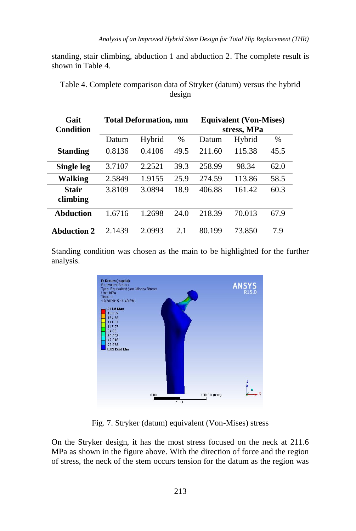standing, stair climbing, abduction 1 and abduction 2. The complete result is shown in Table 4.

| Gait               | <b>Total Deformation, mm</b> |        |      | <b>Equivalent (Von-Mises)</b> |        |      |
|--------------------|------------------------------|--------|------|-------------------------------|--------|------|
| Condition          |                              |        |      | stress, MPa                   |        |      |
|                    | Datum                        | Hybrid | $\%$ | Datum                         | Hybrid | $\%$ |
| <b>Standing</b>    | 0.8136                       | 0.4106 | 49.5 | 211.60                        | 115.38 | 45.5 |
| Single leg         | 3.7107                       | 2.2521 | 39.3 | 258.99                        | 98.34  | 62.0 |
| Walking            | 2.5849                       | 1.9155 | 25.9 | 274.59                        | 113.86 | 58.5 |
| Stair<br>climbing  | 3.8109                       | 3.0894 | 18.9 | 406.88                        | 161.42 | 60.3 |
| Abduction          | 1.6716                       | 1.2698 | 24.0 | 218.39                        | 70.013 | 67.9 |
| <b>Abduction 2</b> | 2.1439                       | 2.0993 | 2.1  | 80.199                        | 73.850 | 7.9  |

Table 4. Complete comparison data of Stryker (datum) versus the hybrid design

Standing condition was chosen as the main to be highlighted for the further analysis.



Fig. 7. Stryker (datum) equivalent (Von-Mises) stress

On the Stryker design, it has the most stress focused on the neck at 211.6 MPa as shown in the figure above. With the direction of force and the region of stress, the neck of the stem occurs tension for the datum as the region was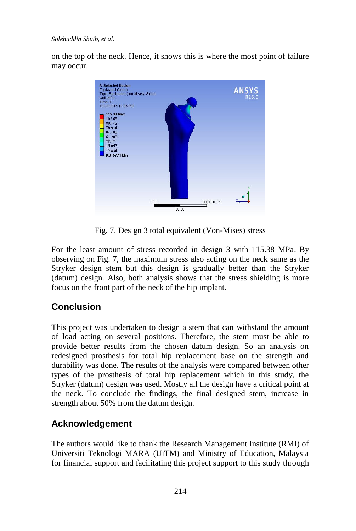*Solehuddin Shuib, et al.*

on the top of the neck. Hence, it shows this is where the most point of failure may occur.



Fig. 7. Design 3 total equivalent (Von-Mises) stress

For the least amount of stress recorded in design 3 with 115.38 MPa. By observing on Fig. 7, the maximum stress also acting on the neck same as the Stryker design stem but this design is gradually better than the Stryker (datum) design. Also, both analysis shows that the stress shielding is more focus on the front part of the neck of the hip implant.

# **Conclusion**

This project was undertaken to design a stem that can withstand the amount of load acting on several positions. Therefore, the stem must be able to provide better results from the chosen datum design. So an analysis on redesigned prosthesis for total hip replacement base on the strength and durability was done. The results of the analysis were compared between other types of the prosthesis of total hip replacement which in this study, the Stryker (datum) design was used. Mostly all the design have a critical point at the neck. To conclude the findings, the final designed stem, increase in strength about 50% from the datum design.

# **Acknowledgement**

The authors would like to thank the Research Management Institute (RMI) of Universiti Teknologi MARA (UiTM) and Ministry of Education, Malaysia for financial support and facilitating this project support to this study through